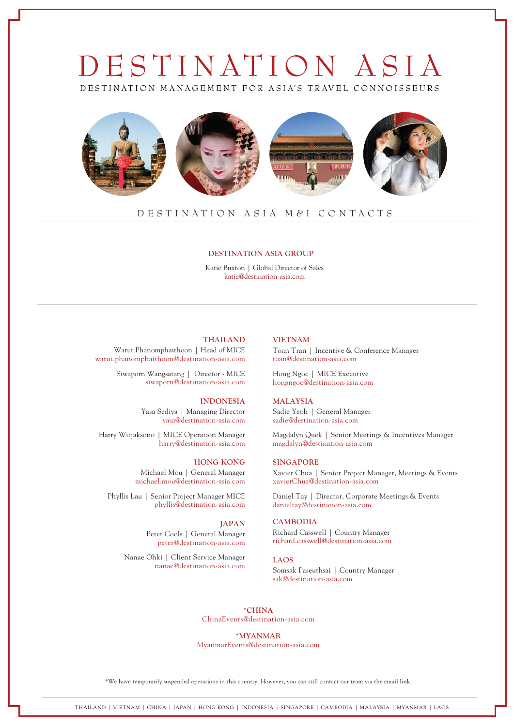# DESTINATION ASIA DESTINATION MANAGEMENT FOR ASIA'S TRAVEL CONNOISSEURS



# DESTINATION ASIA M&I CONTACTS

# **DESTINATION ASIA GROUP**

Katie Buxton | Global Director of Sales katie@destination-asia.com

### **THAILAND**

Warut Phanomphaithoon | Head of MICE warut.phanomphaithoon@destination-asia.com

> Siwaporn Wangsatang | Director - MICE siwaporn@destination-asia.com

## **INDONESIA**

Yasa Sediya | Managing Director yasa@destination-asia.com

Harry Witjaksono | MICE Operation Manager harry@destination-asia.com

> **HONG KONG** Michael Mou | General Manager michael.mou@destination-asia.com

Phyllis Lau | Senior Project Manager MICE phyllis@destination-asia.com

> **JAPAN** Peter Cools | General Manager peter@destination-asia.com

Nanae Ohki | Client Service Manager nanae@destination-asia.com

# **VIETNAM**

Toan Tran | Incentive & Conference Manager toan@destination-asia.com

Hong Ngoc | MICE Executive hongngoc@destination-asia.com

# **MALAYSIA**

Sadie Yeoh | General Manager sadie@destination-asia.com

Magdalyn Quek | Senior Meetings & Incentives Manager magdalyn@destination-asia.com

# **SINGAPORE**

Xavier Chua | Senior Project Manager, Meetings & Events xavierChua@destination-asia.com

Daniel Tay | Director, Corporate Meetings & Events danieltay@destination-asia.com

# **CAMBODIA**

Richard Casswell | Country Manager richard.casswell@destination-asia.com

# **LAOS**

Somsak Paseuthsai | Country Manager sak@destination-asia.com

**\*CHINA** ChinaEvents@destination-asia.com

**\*MYANMAR**

MyanmarEvents@destination-asia.com

\*We have temporarily suspended operations in this country. However, you can still contact our team via the email link.

THAILAND | VIETNAM | CHINA | JAPAN | HONG KONG | INDONESIA | SINGAPORE | CAMBODIA | MALAYSIA | MYANMAR | LAOS